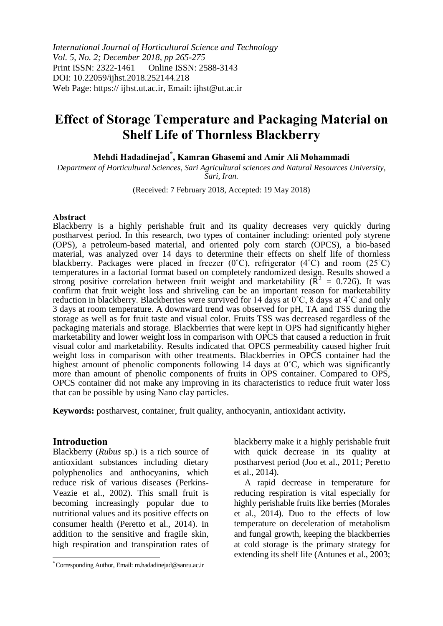*International Journal of Horticultural Science and Technology Vol. 5, No. 2; December 2018, pp 265-275* Print ISSN: 2322-1461 Online ISSN: 2588-3143 DOI: 10.22059/ijhst.2018.252144.218 Web Page: https:// ijhst.ut.ac.ir, Email: ijhst@ut.ac.ir

# **Effect of Storage Temperature and Packaging Material on Shelf Life of Thornless Blackberry**

**Mehdi Hadadinejad\* , Kamran Ghasemi and Amir Ali Mohammadi**

*Department of Horticultural Sciences, Sari Agricultural sciences and Natural Resources University, Sari, Iran.*

(Received: 7 February 2018, Accepted: 19 May 2018)

#### **Abstract**

Blackberry is a highly perishable fruit and its quality decreases very quickly during postharvest period. In this research, two types of container including: oriented poly styrene (OPS), a petroleum-based material, and oriented poly corn starch (OPCS), a bio-based material, was analyzed over 14 days to determine their effects on shelf life of thornless blackberry. Packages were placed in freezer (0˚C), refrigerator (4˚C) and room (25˚C) temperatures in a factorial format based on completely randomized design. Results showed a strong positive correlation between fruit weight and marketability ( $\tilde{R}^2 = 0.726$ ). It was confirm that fruit weight loss and shriveling can be an important reason for marketability reduction in blackberry. Blackberries were survived for 14 days at 0˚C, 8 days at 4˚C and only 3 days at room temperature. A downward trend was observed for pH, TA and TSS during the storage as well as for fruit taste and visual color. Fruits TSS was decreased regardless of the packaging materials and storage. Blackberries that were kept in OPS had significantly higher marketability and lower weight loss in comparison with OPCS that caused a reduction in fruit visual color and marketability. Results indicated that OPCS permeability caused higher fruit weight loss in comparison with other treatments. Blackberries in OPCS container had the highest amount of phenolic components following 14 days at 0°C, which was significantly more than amount of phenolic components of fruits in OPS container. Compared to OPS, OPCS container did not make any improving in its characteristics to reduce fruit water loss that can be possible by using Nano clay particles.

**Keywords:** postharvest, container, fruit quality, anthocyanin, antioxidant activity**.** 

#### **Introduction**

 $\overline{a}$ 

Blackberry (*Rubus* sp.) is a rich source of antioxidant substances including dietary polyphenolics and anthocyanins, which reduce risk of various diseases (Perkins-Veazie et al., 2002). This small fruit is becoming increasingly popular due to nutritional values and its positive effects on consumer health (Peretto et al., 2014). In addition to the sensitive and fragile skin, high respiration and transpiration rates of blackberry make it a highly perishable fruit with quick decrease in its quality at postharvest period (Joo et al., 2011; Peretto et al., 2014).

A rapid decrease in temperature for reducing respiration is vital especially for highly perishable fruits like berries (Morales et al., 2014). Duo to the effects of low temperature on deceleration of metabolism and fungal growth, keeping the blackberries at cold storage is the primary strategy for extending its shelf life (Antunes et al., 2003;

<sup>\*</sup> Corresponding Author, Email: m.hadadinejad@sanru.ac.ir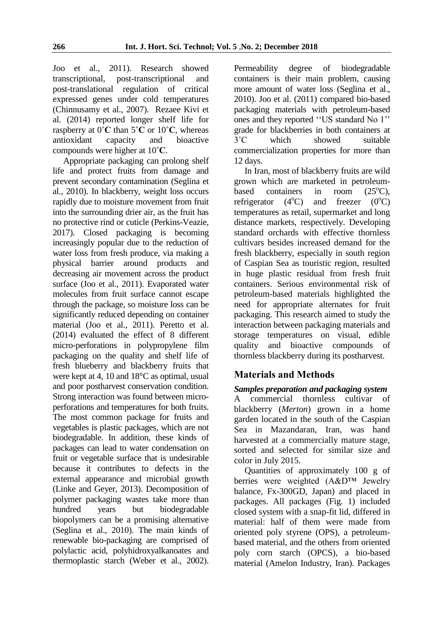Joo et al., 2011). Research showed<br>transcriptional, post-transcriptional and post-transcriptional and post-translational regulation of critical expressed genes under cold temperatures (Chinnusamy et al., 2007). Rezaee Kivi et al*.* (2014) reported longer shelf life for raspberry at 0**˚C** than 5**˚C** or 10**˚C**, whereas antioxidant capacity and bioactive compounds were higher at 10**˚C**.

Appropriate packaging can prolong shelf life and protect fruits from damage and prevent secondary contamination (Seglina et al., 2010). In blackberry, weight loss occurs rapidly due to moisture movement from fruit into the surrounding drier air, as the fruit has no protective rind or cuticle (Perkins-Veazie, 2017). Closed packaging is becoming increasingly popular due to the reduction of water loss from fresh produce, via making a physical barrier around products and decreasing air movement across the product surface (Joo et al., 2011). Evaporated water molecules from fruit surface cannot escape through the package, so moisture loss can be significantly reduced depending on container material (Joo et al., 2011). Peretto et al. (2014) evaluated the effect of 8 different micro-perforations in polypropylene film packaging on the quality and shelf life of fresh blueberry and blackberry fruits that were kept at 4, 10 and 18°C as optimal, usual and poor postharvest conservation condition. Strong interaction was found between microperforations and temperatures for both fruits. The most common package for fruits and vegetables is plastic packages, which are not biodegradable. In addition, these kinds of packages can lead to water condensation on fruit or vegetable surface that is undesirable because it contributes to defects in the external appearance and microbial growth (Linke and Geyer, 2013). Decomposition of polymer packaging wastes take more than hundred years but biodegradable biopolymers can be a promising alternative (Seglina et al., 2010). The main kinds of renewable bio-packaging are comprised of polylactic acid, polyhidroxyalkanoates and thermoplastic starch (Weber et al., 2002).

Permeability degree of biodegradable containers is their main problem, causing more amount of water loss (Seglina et al., 2010). Joo et al. (2011) compared bio-based packaging materials with petroleum-based ones and they reported ''US standard No 1'' grade for blackberries in both containers at 3˚C which showed suitable commercialization properties for more than 12 days.

In Iran, most of blackberry fruits are wild grown which are marketed in petroleumbased containers in room  $(25^{\circ}C)$ , refrigerator  $(4^{\circ}C)$  and freezer  $(0^{\circ}C)$ temperatures as retail, supermarket and long distance markets, respectively. Developing standard orchards with effective thornless cultivars besides increased demand for the fresh blackberry, especially in south region of Caspian Sea as touristic region, resulted in huge plastic residual from fresh fruit containers. Serious environmental risk of petroleum-based materials highlighted the need for appropriate alternates for fruit packaging. This research aimed to study the interaction between packaging materials and storage temperatures on visual, edible quality and bioactive compounds of thornless blackberry during its postharvest.

# **Materials and Methods**

## *Samples preparation and packaging system*

A commercial thornless cultivar of blackberry (*Merton*) grown in a home garden located in the south of the Caspian Sea in Mazandaran, Iran, was hand harvested at a commercially mature stage, sorted and selected for similar size and color in July 2015.

Quantities of approximately 100 g of berries were weighted (A&D™ Jewelry balance, Fx-300GD, Japan) and placed in packages. All packages (Fig. 1) included closed system with a snap-fit lid, differed in material: half of them were made from oriented poly styrene (OPS), a petroleumbased material, and the others from oriented poly corn starch (OPCS), a bio-based material (Amelon Industry, Iran). Packages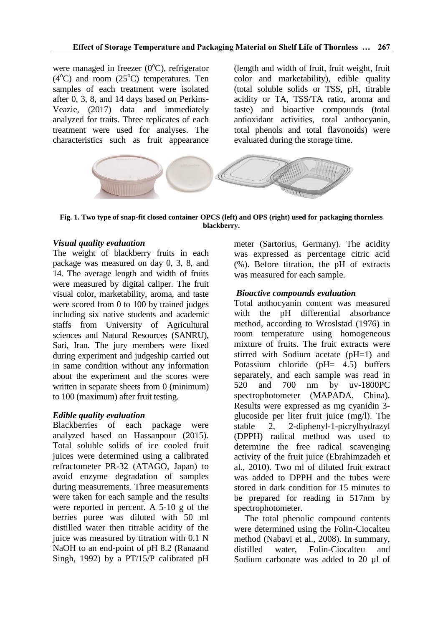were managed in freezer  $(0^{\circ}C)$ , refrigerator  $(4^{\circ}$ C) and room  $(25^{\circ}$ C) temperatures. Ten samples of each treatment were isolated after 0, 3, 8, and 14 days based on Perkins-Veazie, (2017) data and immediately analyzed for traits. Three replicates of each treatment were used for analyses. The characteristics such as fruit appearance

(length and width of fruit, fruit weight, fruit color and marketability), edible quality (total soluble solids or TSS, pH, titrable acidity or TA, TSS/TA ratio, aroma and taste) and bioactive compounds (total antioxidant activities, total anthocyanin, total phenols and total flavonoids) were evaluated during the storage time.



**Fig. 1. Two type of snap-fit closed container OPCS (left) and OPS (right) used for packaging thornless blackberry.**

## *Visual quality evaluation*

The weight of blackberry fruits in each package was measured on day 0, 3, 8, and 14. The average length and width of fruits were measured by digital caliper. The fruit visual color, marketability, aroma, and taste were scored from 0 to 100 by trained judges including six native students and academic staffs from University of Agricultural sciences and Natural Resources (SANRU), Sari, Iran. The jury members were fixed during experiment and judgeship carried out in same condition without any information about the experiment and the scores were written in separate sheets from 0 (minimum) to 100 (maximum) after fruit testing.

## *Edible quality evaluation*

Blackberries of each package were analyzed based on Hassanpour (2015). Total soluble solids of ice cooled fruit juices were determined using a calibrated refractometer PR-32 (ATAGO, Japan) to avoid enzyme degradation of samples during measurements. Three measurements were taken for each sample and the results were reported in percent. A 5-10 g of the berries puree was diluted with 50 ml distilled water then titrable acidity of the juice was measured by titration with 0.1 N NaOH to an end-point of pH 8.2 (Ranaand Singh, 1992) by a PT/15/P calibrated pH

meter (Sartorius, Germany). The acidity was expressed as percentage citric acid (%). Before titration, the pH of extracts was measured for each sample.

## *Bioactive compounds evaluation*

Total anthocyanin content was measured with the pH differential absorbance method, according to Wroslstad (1976) in room temperature using homogeneous mixture of fruits. The fruit extracts were stirred with Sodium acetate (pH=1) and Potassium chloride (pH= 4.5) buffers separately, and each sample was read in 520 and 700 nm by uv-1800PC spectrophotometer (MAPADA, China). Results were expressed as mg cyanidin 3 glucoside per liter fruit juice (mg/l). The stable 2, 2-diphenyl-1-picrylhydrazyl (DPPH) radical method was used to determine the free radical scavenging activity of the fruit juice (Ebrahimzadeh et al., 2010). Two ml of diluted fruit extract was added to DPPH and the tubes were stored in dark condition for 15 minutes to be prepared for reading in 517nm by spectrophotometer.

The total phenolic compound contents were determined using the Folin-Ciocalteu method (Nabavi et al., 2008). In summary, distilled water, Folin-Ciocalteu and Sodium carbonate was added to 20 µl of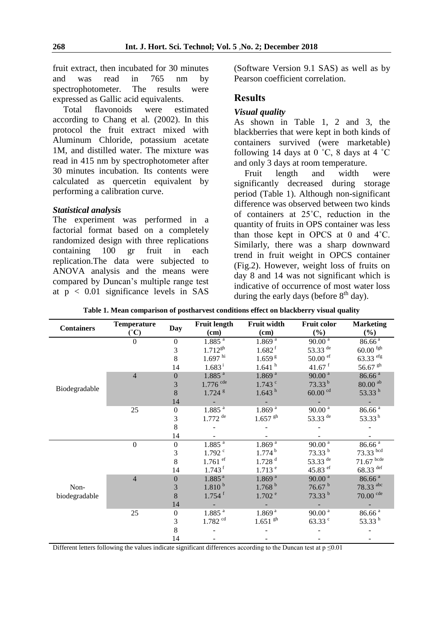fruit extract, then incubated for 30 minutes and was read  $in$ 765  $nm$  $bv$ spectrophotometer. The results were expressed as Gallic acid equivalents.

flavonoids were Total estimated according to Chang et al. (2002). In this protocol the fruit extract mixed with Aluminum Chloride, potassium acetate 1M, and distilled water. The mixture was read in 415 nm by spectrophotometer after 30 minutes incubation. Its contents were calculated as quercetin equivalent by performing a calibration curve.

#### **Statistical analysis**

The experiment was performed in a factorial format based on a completely randomized design with three replications containing 100  $gr$ fruit  $in$ each replication. The data were subjected to ANOVA analysis and the means were compared by Duncan's multiple range test at  $p < 0.01$  significance levels in SAS

(Software Version 9.1 SAS) as well as by Pearson coefficient correlation.

# **Results**

#### **Visual quality**

As shown in Table 1, 2 and 3, the blackberries that were kept in both kinds of containers survived (were marketable) following 14 days at 0  $°C$ , 8 days at 4  $°C$ and only 3 days at room temperature.

length Fruit and width were significantly decreased during storage period (Table 1). Although non-significant difference was observed between two kinds of containers at 25°C, reduction in the quantity of fruits in OPS container was less than those kept in OPCS at 0 and  $4^{\circ}$ C. Similarly, there was a sharp downward trend in fruit weight in OPCS container (Fig.2). However, weight loss of fruits on day 8 and 14 was not significant which is indicative of occurrence of most water loss during the early days (before  $8<sup>th</sup>$  day).

| <b>Containers</b>     | <b>Temperature</b><br>(°C) | <b>Day</b>       | <b>Fruit length</b><br>Fruit width |                       | <b>Fruit color</b>       | <b>Marketing</b>         |  |
|-----------------------|----------------------------|------------------|------------------------------------|-----------------------|--------------------------|--------------------------|--|
|                       |                            |                  | (cm)                               | $(cm)$                | $(\%)$                   | $(\%)$                   |  |
| Biodegradable         | $\overline{0}$             | $\boldsymbol{0}$ | 1.885 <sup>a</sup>                 | $1.869^{a}$           | $90.00^{\frac{1}{a}}$    | $86.66^{a}$              |  |
|                       |                            | 3                | $1.712^{gh}$                       | $1.682$ <sup>f</sup>  | 53.33 de                 | $60.00$ fgh              |  |
|                       |                            | 8                | $1.697$ hi                         | 1.659 <sup>g</sup>    | $50.00$ ef               | 63.33 efg                |  |
|                       |                            | 14               | $1.683^{\rm i}$                    | 1.641hh               | $41.67$ <sup>f</sup>     | 56.67 $\rm ^{gh}$        |  |
|                       | $\overline{4}$             | $\overline{0}$   | $1.885$ <sup>a</sup>               | 1.869 <sup>a</sup>    | 90.00 <sup>a</sup>       | 86.66 <sup>a</sup>       |  |
|                       |                            | 3                | $1.776$ cde                        | $1.743$ $\degree$     | $73.33^{b}$              | $80.00$ <sup>ab</sup>    |  |
|                       |                            | 8                | $1.724$ <sup>g</sup>               | 1.643 <sup>h</sup>    | $60.00$ <sup>cd</sup>    | 53.33 $^{\rm h}$         |  |
|                       |                            | 14               |                                    |                       |                          |                          |  |
|                       | 25                         | $\boldsymbol{0}$ | $1.885^{a}$                        | 1.869 <sup>a</sup>    | $90.00a$                 | 86.66 <sup>a</sup>       |  |
|                       |                            | 3                | $1.772$ $^{\rm{de}}$               | $1.657$ <sup>gh</sup> | 53.33 $de$               | 53.33 $^{\rm h}$         |  |
|                       |                            | 8                |                                    |                       |                          |                          |  |
|                       |                            | 14               |                                    |                       |                          |                          |  |
| Non-<br>biodegradable | $\overline{0}$             | $\boldsymbol{0}$ | 1.885 <sup>a</sup>                 | $1.869^{a}$           | 90.00 <sup>a</sup>       | $86.\overline{66}^{\ a}$ |  |
|                       |                            | 3                | $1.792$ <sup>c</sup>               | 1.774 <sup>b</sup>    | $73.33^{b}$              | 73.33 bcd                |  |
|                       |                            | 8                | $1.761$ <sup>ef</sup>              | $1.728$ <sup>d</sup>  | 53.33 $de$               | $71.67$ bcde             |  |
|                       |                            | 14               | $1.743$ <sup>f</sup>               | $1.713$ <sup>e</sup>  | 45.83 $\rm{e}^{\rm{ef}}$ | 68.33 def                |  |
|                       | $\overline{4}$             | $\boldsymbol{0}$ | 1.885 <sup>a</sup>                 | 1.869 <sup>a</sup>    | 90.00 <sup>a</sup>       | 86.66 <sup>a</sup>       |  |
|                       |                            | 3                | 1.810 <sup>b</sup>                 | 1.768 <sup>b</sup>    | 76.67 <sup>b</sup>       | 78.33 abc                |  |
|                       |                            | 8                | $1.754$ <sup>f</sup>               | $1.702$ <sup>e</sup>  | 73.33 b                  | $70.00$ cde              |  |
|                       |                            | 14               |                                    |                       |                          |                          |  |
|                       | 25                         | $\boldsymbol{0}$ | $1.885$ <sup>a</sup>               | 1.869 <sup>a</sup>    | $90.00a$                 | 86.66 <sup>a</sup>       |  |
|                       |                            | 3                | $1.782$ <sup>cd</sup>              | $1.651$ $\rm{gh}$     | $63.33$ $\degree$        | 53.33 $^{\rm h}$         |  |
|                       |                            | 8                |                                    |                       |                          |                          |  |
|                       |                            | 14               |                                    |                       |                          |                          |  |

Table 1. Mean comparison of postharvest conditions effect on blackberry visual quality

Different letters following the values indicate significant differences according to the Duncan test at  $p \le 0.01$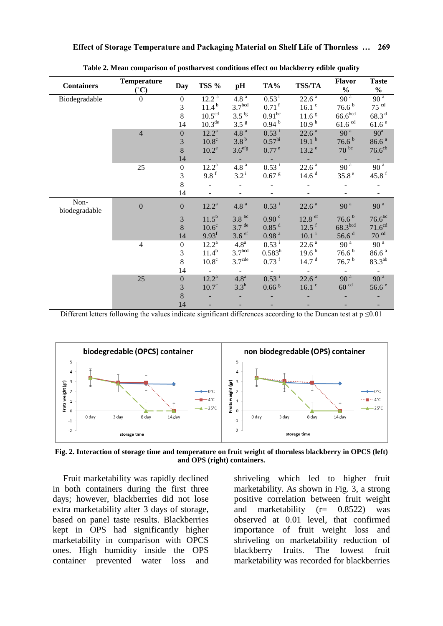| <b>Containers</b>     | <b>Temperature</b><br>(°C) | <b>Day</b>       | TSS %               | pH                  | TA%                 | <b>TSS/TA</b>       | <b>Flavor</b><br>$\frac{0}{0}$ | <b>Taste</b><br>$\frac{0}{0}$ |
|-----------------------|----------------------------|------------------|---------------------|---------------------|---------------------|---------------------|--------------------------------|-------------------------------|
| Biodegradable         | $\boldsymbol{0}$           | $\boldsymbol{0}$ | $12.2^{a}$          | 4.8 <sup>a</sup>    | $0.53^{i}$          | $22.6^{\circ}$      | 90 <sup>a</sup>                | 90 <sup>a</sup>               |
|                       |                            | 3                | $11.4^{\mathrm{b}}$ | 3.7 <sup>bcd</sup>  | $0.71$ <sup>f</sup> | $16.1$ $\degree$    | 76.6 <sup>b</sup>              | $75$ $cd$                     |
|                       |                            | 8                | $10.5^{\rm cd}$     | $3.5$ <sup>fg</sup> | 0.91 <sup>bc</sup>  | 11.6 <sup>g</sup>   | $66.6^{\rm bcd}$               | 68.3 <sup>d</sup>             |
|                       |                            | 14               | 10.3 <sup>de</sup>  | 3.5 <sup>g</sup>    | 0.94 <sup>b</sup>   | 10.9 <sup>h</sup>   | $61.6$ <sup>cd</sup>           | 61.6 <sup>e</sup>             |
|                       | $\overline{4}$             | $\boldsymbol{0}$ | $12.2^a$            | 4.8 <sup>a</sup>    | $0.53^{\mathrm{i}}$ | 22.6 <sup>a</sup>   | 90 <sup>a</sup>                | 90 <sup>a</sup>               |
|                       |                            | $\mathfrak{Z}$   | $10.8^{\circ}$      | 3.8 <sup>b</sup>    | 0.57 <sup>hi</sup>  | 19.1 <sup>b</sup>   | $76.6^{b}$                     | 86.6 <sup>a</sup>             |
|                       |                            | 8                | $10.2^e$            | 3.6 <sup>efg</sup>  | 0.77e               | 13.2 <sup>e</sup>   | $70^{bc}$                      | 76.6 <sup>cb</sup>            |
|                       |                            | 14               |                     |                     |                     |                     |                                |                               |
|                       | 25                         | $\boldsymbol{0}$ | $12.2^a$            | 4.8 <sup>a</sup>    | $0.53^{\mathrm{i}}$ | $22.6$ $^{\rm a}$   | 90 <sup>a</sup>                | 90 <sup>a</sup>               |
|                       |                            | $\mathfrak{Z}$   | 9.8f                | $3.2^{\rm i}$       | $0.67$ $\rm{g}$     | 14.6 <sup>d</sup>   | 35.8 <sup>e</sup>              | 45.8 $f$                      |
|                       |                            | 8                |                     |                     |                     |                     |                                |                               |
|                       |                            | 14               |                     |                     |                     |                     |                                | $\blacksquare$                |
| Non-<br>biodegradable | $\boldsymbol{0}$           | $\boldsymbol{0}$ | $12.2^a$            | $4.8$ $^{\rm a}$    | $0.53$ <sup>i</sup> | 22.6 <sup>a</sup>   | 90 <sup>a</sup>                | 90 <sup>a</sup>               |
|                       |                            | $\mathfrak{Z}$   | $11.5^{b}$          | 3.8 <sup>bc</sup>   | 0.90 <sup>c</sup>   | $12.8$ ef           | 76.6 <sup>b</sup>              | $76.6^{bc}$                   |
|                       |                            | 8                | $10.6^{\circ}$      | $3.7$ <sup>de</sup> | $0.85$ <sup>d</sup> | $12.5$ <sup>f</sup> | 68.3 <sup>bcd</sup>            | 71.6 <sup>cd</sup>            |
|                       |                            | 14               | 9.93 <sup>f</sup>   | 3.6 <sup>ef</sup>   | 0.98 <sup>a</sup>   | $10.1$ <sup>i</sup> | 56.6 $d$                       | 70 <sup>cd</sup>              |
|                       | 4                          | $\boldsymbol{0}$ | $12.2^{\rm a}$      | 4.8 <sup>a</sup>    | $0.53^{\mathrm{i}}$ | 22.6 <sup>a</sup>   | 90 <sup>a</sup>                | 90 <sup>a</sup>               |
|                       |                            | $\mathfrak{Z}$   | $11.4^b$            | 3.7 <sup>bcd</sup>  | $0.583^{h}$         | $19.6^{b}$          | 76.6 $^{\rm b}$                | 86.6 <sup>a</sup>             |
|                       |                            | $\,8\,$          | $10.8^{\circ}$      | 3.7 <sup>cde</sup>  | $0.73$ <sup>f</sup> | 14.7 <sup>d</sup>   | 76.7 <sup>b</sup>              | $83.3^{ab}$                   |
|                       |                            | 14               |                     |                     |                     |                     |                                |                               |
|                       | 25                         | $\boldsymbol{0}$ | $12.2^a$            | 4.8 <sup>a</sup>    | $0.53^{\mathrm{i}}$ | 22.6 <sup>a</sup>   | 90 <sup>a</sup>                | 90 <sup>a</sup>               |
|                       |                            | 3                | $10.7^\circ$        | $3.3^{h}$           | $0.66$ $\mathrm{g}$ | $16.1$ $\degree$    | 60 <sup>cd</sup>               | 56.6e                         |
|                       |                            | 8                |                     |                     |                     |                     |                                |                               |
|                       |                            | 14               |                     |                     |                     |                     |                                |                               |

Table 2. Mean comparison of postharvest conditions effect on blackberry edible quality

Different letters following the values indicate significant differences according to the Duncan test at  $p \le 0.01$ 



Fig. 2. Interaction of storage time and temperature on fruit weight of thornless blackberry in OPCS (left) and OPS (right) containers.

Fruit marketability was rapidly declined in both containers during the first three days; however, blackberries did not lose extra marketability after 3 days of storage, based on panel taste results. Blackberries kept in OPS had significantly higher marketability in comparison with OPCS ones. High humidity inside the OPS container prevented water loss and shriveling which led to higher fruit marketability. As shown in Fig. 3, a strong positive correlation between fruit weight and marketability  $(r = 0.8522)$ was observed at 0.01 level, that confirmed importance of fruit weight loss and shriveling on marketability reduction of fruits. The lowest blackberry fruit marketability was recorded for blackberries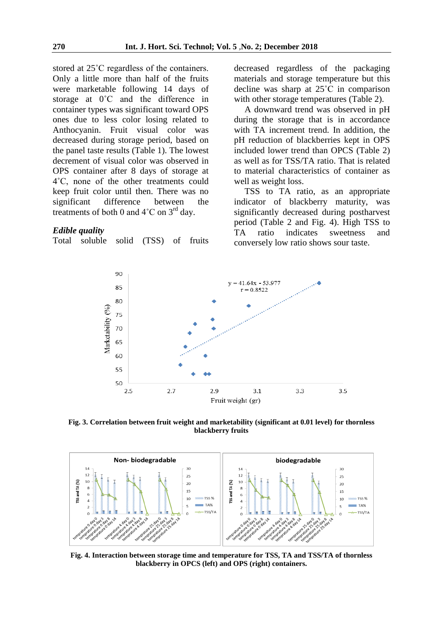stored at 25˚C regardless of the containers. Only a little more than half of the fruits were marketable following 14 days of storage at 0˚C and the difference in container types was significant toward OPS ones due to less color losing related to Anthocyanin. Fruit visual color was decreased during storage period, based on the panel taste results (Table 1). The lowest decrement of visual color was observed in OPS container after 8 days of storage at 4˚C, none of the other treatments could keep fruit color until then. There was no significant difference between the treatments of both 0 and  $4^{\circ}$ C on  $3^{\text{rd}}$  day.

#### *Edible quality*

Total soluble solid (TSS) of fruits

decreased regardless of the packaging materials and storage temperature but this decline was sharp at 25˚C in comparison with other storage temperatures (Table 2).

A downward trend was observed in pH during the storage that is in accordance with TA increment trend. In addition, the pH reduction of blackberries kept in OPS included lower trend than OPCS (Table 2) as well as for TSS/TA ratio. That is related to material characteristics of container as well as weight loss.

TSS to TA ratio, as an appropriate indicator of blackberry maturity, was significantly decreased during postharvest period (Table 2 and Fig. 4). High TSS to TA ratio indicates sweetness and conversely low ratio shows sour taste.



**Fig. 3. Correlation between fruit weight and marketability (significant at 0.01 level) for thornless blackberry fruits**



**Fig. 4. Interaction between storage time and temperature for TSS, TA and TSS/TA of thornless blackberry in OPCS (left) and OPS (right) containers.**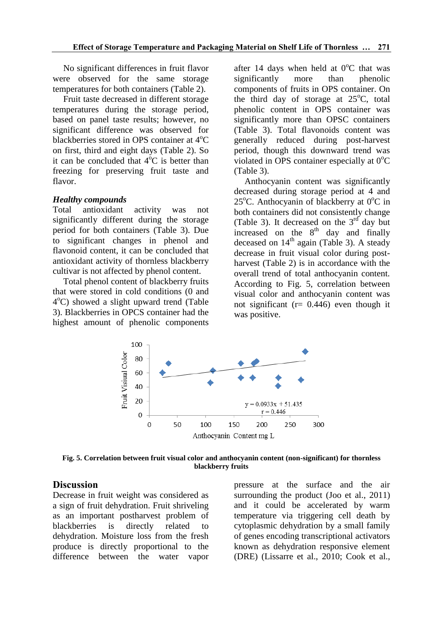No significant differences in fruit flavor were observed for the same storage temperatures for both containers (Table 2).

Fruit taste decreased in different storage temperatures during the storage period, based on panel taste results; however, no significant difference was observed for blackberries stored in OPS container at  $4^{\circ}C$ on first, third and eight days (Table 2). So it can be concluded that  $4^{\circ}$ C is better than freezing for preserving fruit taste and flavor.

#### *Healthy compounds*

Total antioxidant activity was not significantly different during the storage period for both containers (Table 3). Due to significant changes in phenol and flavonoid content, it can be concluded that antioxidant activity of thornless blackberry cultivar is not affected by phenol content.

Total phenol content of blackberry fruits that were stored in cold conditions (0 and 4 <sup>o</sup>C) showed a slight upward trend (Table 3). Blackberries in OPCS container had the highest amount of phenolic components

after 14 days when held at  $0^{\circ}$ C that was significantly more than phenolic components of fruits in OPS container. On the third day of storage at  $25^{\circ}$ C, total phenolic content in OPS container was significantly more than OPSC containers (Table 3). Total flavonoids content was generally reduced during post-harvest period, though this downward trend was violated in OPS container especially at  $0^{\circ}C$ (Table 3).

Anthocyanin content was significantly decreased during storage period at 4 and  $25^{\circ}$ C. Anthocyanin of blackberry at  $0^{\circ}$ C in both containers did not consistently change (Table 3). It decreased on the  $3<sup>rd</sup>$  day but increased on the  $8<sup>th</sup>$  day and finally deceased on  $14<sup>th</sup>$  again (Table 3). A steady decrease in fruit visual color during postharvest (Table 2) is in accordance with the overall trend of total anthocyanin content. According to Fig. 5, correlation between visual color and anthocyanin content was not significant ( $r = 0.446$ ) even though it was positive.



**Fig. 5. Correlation between fruit visual color and anthocyanin content (non-significant) for thornless blackberry fruits**

## **Discussion**

Decrease in fruit weight was considered as a sign of fruit dehydration. Fruit shriveling as an important postharvest problem of blackberries is directly related to dehydration. Moisture loss from the fresh produce is directly proportional to the difference between the water vapor pressure at the surface and the air surrounding the product (Joo et al., 2011) and it could be accelerated by warm temperature via triggering cell death by cytoplasmic dehydration by a small family of genes encoding transcriptional activators known as dehydration responsive element (DRE) (Lissarre et al., 2010; Cook et al.,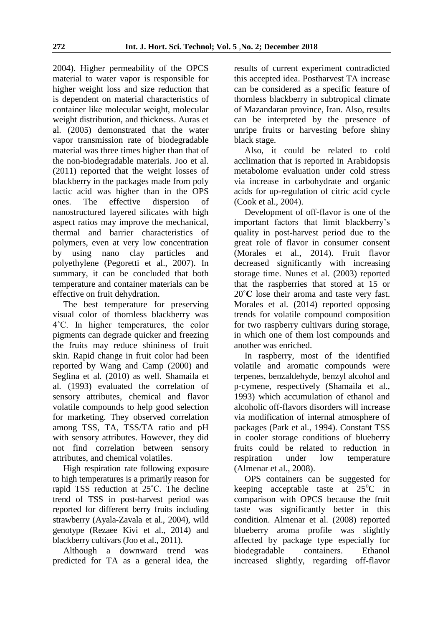2004). Higher permeability of the OPCS material to water vapor is responsible for higher weight loss and size reduction that is dependent on material characteristics of container like molecular weight, molecular weight distribution, and thickness. Auras et al*.* (2005) demonstrated that the water vapor transmission rate of biodegradable material was three times higher than that of the non-biodegradable materials. Joo et al*.*  (2011) reported that the weight losses of blackberry in the packages made from poly lactic acid was higher than in the OPS ones. The effective dispersion of nanostructured layered silicates with high aspect ratios may improve the mechanical, thermal and barrier characteristics of polymers, even at very low concentration by using nano clay particles and polyethylene (Pegoretti et al., 2007). In summary, it can be concluded that both temperature and container materials can be effective on fruit dehydration.

The best temperature for preserving visual color of thornless blackberry was 4˚C. In higher temperatures, the color pigments can degrade quicker and freezing the fruits may reduce shininess of fruit skin. Rapid change in fruit color had been reported by Wang and Camp (2000) and Seglina et al*.* (2010) as well. Shamaila et al*.* (1993) evaluated the correlation of sensory attributes, chemical and flavor volatile compounds to help good selection for marketing. They observed correlation among TSS, TA, TSS/TA ratio and pH with sensory attributes. However, they did not find correlation between sensory attributes, and chemical volatiles.

High respiration rate following exposure to high temperatures is a primarily reason for rapid TSS reduction at 25˚C. The decline trend of TSS in post-harvest period was reported for different berry fruits including strawberry (Ayala-Zavala et al., 2004), wild genotype (Rezaee Kivi et al., 2014) and blackberry cultivars (Joo et al., 2011).

Although a downward trend was predicted for TA as a general idea, the results of current experiment contradicted this accepted idea. Postharvest TA increase can be considered as a specific feature of thornless blackberry in subtropical climate of Mazandaran province, Iran. Also, results can be interpreted by the presence of unripe fruits or harvesting before shiny black stage.

Also, it could be related to cold acclimation that is reported in Arabidopsis metabolome evaluation under cold stress via increase in carbohydrate and organic acids for up-regulation of citric acid cycle (Cook et al., 2004).

Development of off-flavor is one of the important factors that limit blackberry's quality in post-harvest period due to the great role of flavor in consumer consent (Morales et al., 2014). Fruit flavor decreased significantly with increasing storage time. Nunes et al. (2003) reported that the raspberries that stored at 15 or 20**˚C** lose their aroma and taste very fast. Morales et al*.* (2014) reported opposing trends for volatile compound composition for two raspberry cultivars during storage, in which one of them lost compounds and another was enriched.

In raspberry, most of the identified volatile and aromatic compounds were terpenes, benzaldehyde, benzyl alcohol and p-cymene, respectively (Shamaila et al., 1993) which accumulation of ethanol and alcoholic off-flavors disorders will increase via modification of internal atmosphere of packages (Park et al*.,* 1994). Constant TSS in cooler storage conditions of blueberry fruits could be related to reduction in respiration under low temperature (Almenar et al., 2008).

OPS containers can be suggested for keeping acceptable taste at  $25^{\circ}$ C in comparison with OPCS because the fruit taste was significantly better in this condition. Almenar et al*.* (2008) reported blueberry aroma profile was slightly affected by package type especially for biodegradable containers. Ethanol increased slightly, regarding off-flavor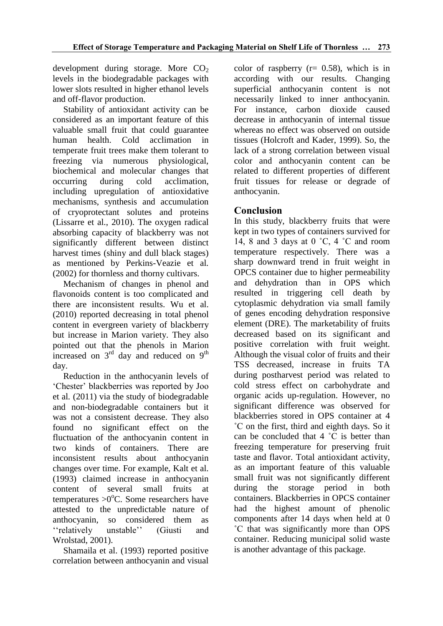development during storage. More  $CO<sub>2</sub>$ levels in the biodegradable packages with lower slots resulted in higher ethanol levels and off-flavor production.

Stability of antioxidant activity can be considered as an important feature of this valuable small fruit that could guarantee human health. Cold acclimation in temperate fruit trees make them tolerant to freezing via numerous physiological, biochemical and molecular changes that occurring during cold acclimation, including upregulation of antioxidative mechanisms, synthesis and accumulation of cryoprotectant solutes and proteins (Lissarre et al., 2010). The oxygen radical absorbing capacity of blackberry was not significantly different between distinct harvest times (shiny and dull black stages) as mentioned by Perkins-Veazie et al*.*  (2002) for thornless and thorny cultivars.

Mechanism of changes in phenol and flavonoids content is too complicated and there are inconsistent results. Wu et al. (2010) reported decreasing in total phenol content in evergreen variety of blackberry but increase in Marion variety. They also pointed out that the phenols in Marion increased on  $3<sup>rd</sup>$  day and reduced on  $9<sup>th</sup>$ day.

Reduction in the anthocyanin levels of 'Chester' blackberries was reported by Joo et al*.* (2011) via the study of biodegradable and non-biodegradable containers but it was not a consistent decrease. They also found no significant effect on the fluctuation of the anthocyanin content in two kinds of containers. There are inconsistent results about anthocyanin changes over time. For example, Kalt et al*.* (1993) claimed increase in anthocyanin content of several small fruits at temperatures  $>0$ <sup>o</sup>C. Some researchers have attested to the unpredictable nature of anthocyanin, so considered them as ''relatively unstable'' (Giusti and Wrolstad, 2001).

Shamaila et al. (1993) reported positive correlation between anthocyanin and visual color of raspberry  $(r= 0.58)$ , which is in according with our results. Changing superficial anthocyanin content is not necessarily linked to inner anthocyanin. For instance, carbon dioxide caused decrease in anthocyanin of internal tissue whereas no effect was observed on outside tissues (Holcroft and Kader, 1999). So, the lack of a strong correlation between visual color and anthocyanin content can be related to different properties of different fruit tissues for release or degrade of anthocyanin.

# **Conclusion**

In this study, blackberry fruits that were kept in two types of containers survived for 14, 8 and 3 days at  $0 \degree C$ , 4  $\degree C$  and room temperature respectively. There was a sharp downward trend in fruit weight in OPCS container due to higher permeability and dehydration than in OPS which resulted in triggering cell death by cytoplasmic dehydration via small family of genes encoding dehydration responsive element (DRE). The marketability of fruits decreased based on its significant and positive correlation with fruit weight. Although the visual color of fruits and their TSS decreased, increase in fruits TA during postharvest period was related to cold stress effect on carbohydrate and organic acids up-regulation. However, no significant difference was observed for blackberries stored in OPS container at 4 ˚C on the first, third and eighth days. So it can be concluded that 4 ˚C is better than freezing temperature for preserving fruit taste and flavor. Total antioxidant activity, as an important feature of this valuable small fruit was not significantly different during the storage period in both containers. Blackberries in OPCS container had the highest amount of phenolic components after 14 days when held at 0 ˚C that was significantly more than OPS container. Reducing municipal solid waste is another advantage of this package.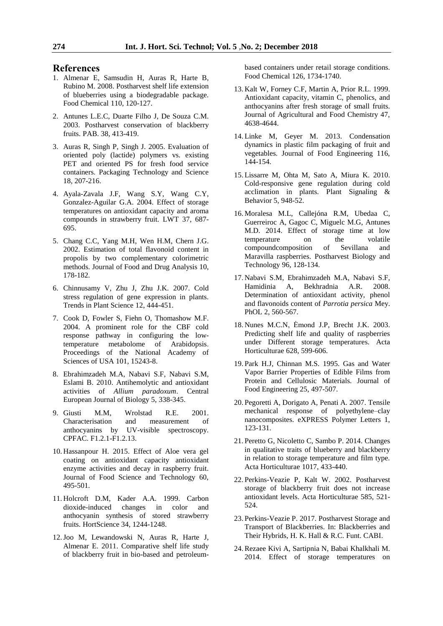#### **References**

- 1. Almenar E, Samsudin H, Auras R, Harte B, Rubino M. 2008. Postharvest shelf life extension of blueberries using a biodegradable package. Food Chemical 110, 120-127.
- 2. Antunes L.E.C, Duarte Filho J, De Souza C.M. 2003. Postharvest conservation of blackberry fruits. PAB. 38, 413-419.
- 3. Auras R, Singh P, Singh J. 2005. Evaluation of oriented poly (lactide) polymers vs. existing PET and oriented PS for fresh food service containers. Packaging Technology and Science 18, 207-216.
- 4. Ayala-Zavala J.F, Wang S.Y, Wang C.Y, Gonzalez-Aguilar G.A. 2004. Effect of storage temperatures on antioxidant capacity and aroma compounds in strawberry fruit. LWT 37, 687- 695.
- 5. Chang C.C, Yang M.H, Wen H.M, Chern J.G. 2002. Estimation of total flavonoid content in propolis by two complementary colorimetric methods. Journal of Food and Drug Analysis 10, 178-182.
- 6. Chinnusamy V, Zhu J, Zhu J.K. 2007. Cold stress regulation of gene expression in plants. Trends in Plant Science 12, 444-451.
- 7. Cook D, Fowler S, Fiehn O, Thomashow M.F. 2004. A prominent role for the CBF cold response pathway in configuring the lowtemperature metabolome of Arabidopsis. Proceedings of the National Academy of Sciences of USA 101, 15243-8.
- 8. Ebrahimzadeh M.A, Nabavi S.F, Nabavi S.M, Eslami B. 2010. Antihemolytic and antioxidant activities of *Allium paradoxum*. Central European Journal of Biology 5, 338-345.
- 9. Giusti M.M, Wrolstad R.E. 2001. Characterisation and measurement of anthocyanins by UV-visible spectroscopy. CPFAC. F1.2.1-F1.2.13.
- 10. Hassanpour H. 2015. Effect of Aloe vera gel coating on antioxidant capacity antioxidant enzyme activities and decay in raspberry fruit. Journal of Food Science and Technology 60, 495-501.
- 11. Holcroft D.M, Kader A.A. 1999. Carbon dioxide-induced changes in color and anthocyanin synthesis of stored strawberry fruits. HortScience 34, 1244-1248.
- 12.Joo M, Lewandowski N, Auras R, Harte J, Almenar E. 2011. Comparative shelf life study of blackberry fruit in bio-based and petroleum-

based containers under retail storage conditions. Food Chemical 126, 1734-1740.

- 13. Kalt W, Forney C.F, Martin A, Prior R.L. 1999. Antioxidant capacity, vitamin C, phenolics, and anthocyanins after fresh storage of small fruits. Journal of Agricultural and Food Chemistry 47, 4638-4644.
- 14. Linke M, Geyer M. 2013. Condensation dynamics in plastic film packaging of fruit and vegetables. Journal of Food Engineering 116, 144-154.
- 15. Lissarre M, Ohta M, Sato A, Miura K. 2010. Cold-responsive gene regulation during cold acclimation in plants. Plant Signaling & Behavior 5, 948-52.
- 16. Moralesa M.L, Callejóna R.M, Ubedaa C, Guerreiroc A, Gagoc C, Miguelc M.G, Antunes M.D. 2014. Effect of storage time at low temperature on the volatile compoundcomposition of Sevillana and Maravilla raspberries. Postharvest Biology and Technology 96, 128-134.
- 17. Nabavi S.M, Ebrahimzadeh M.A, Nabavi S.F, Hamidinia A, Bekhradnia A.R. 2008. Determination of antioxidant activity, phenol and flavonoids content of *Parrotia persica* Mey. PhOL 2, 560-567.
- 18. Nunes M.C.N, Ėmond J.P, Brecht J.K. 2003. Predicting shelf life and quality of raspberries under Different storage temperatures. Acta Horticulturae 628, 599-606.
- 19. Park H.J, Chinnan M.S. 1995. Gas and Water Vapor Barrier Properties of Edible Films from Protein and Cellulosic Materials. Journal of Food Engineering 25, 497-507.
- 20. Pegoretti A, Dorigato A, Penati A. 2007. Tensile mechanical response of polyethylene–clay nanocomposites. eXPRESS Polymer Letters 1, 123-131.
- 21. Peretto G, Nicoletto C, Sambo P. 2014. Changes in qualitative traits of blueberry and blackberry in relation to storage temperature and film type. Acta Horticulturae 1017, 433-440.
- 22. Perkins-Veazie P, Kalt W. 2002. Postharvest storage of blackberry fruit does not increase antioxidant levels. Acta Horticulturae 585, 521- 524.
- 23. Perkins-Veazie P. 2017. Postharvest Storage and Transport of Blackberries. In: Blackberries and Their Hybrids, H. K. Hall & R.C. Funt. CABI.
- 24.Rezaee Kivi A, Sartipnia N, Babai Khalkhali M. 2014. Effect of storage temperatures on